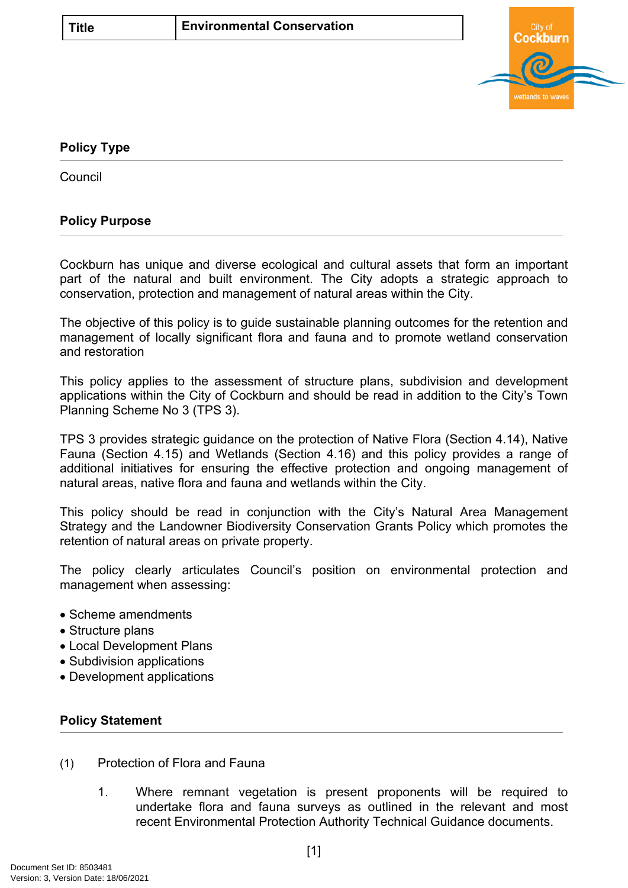

## <span id="page-0-0"></span>**[Policy Type](#page-0-0)**

**Council** 

## **Policy Purpose**

Cockburn has unique and diverse ecological and cultural assets that form an important part of the natural and built environment. The City adopts a strategic approach to conservation, protection and management of natural areas within the City.

The objective of this policy is to guide sustainable planning outcomes for the retention and management of locally significant flora and fauna and to promote wetland conservation and restoration

This policy applies to the assessment of structure plans, subdivision and development applications within the City of Cockburn and should be read in addition to the City's Town Planning Scheme No 3 (TPS 3).

TPS 3 provides strategic guidance on the protection of Native Flora (Section 4.14), Native Fauna (Section 4.15) and Wetlands (Section 4.16) and this policy provides a range of additional initiatives for ensuring the effective protection and ongoing management of natural areas, native flora and fauna and wetlands within the City.

This policy should be read in conjunction with the City's Natural Area Management Strategy and the Landowner Biodiversity Conservation Grants Policy which promotes the retention of natural areas on private property.

The policy clearly articulates Council's position on environmental protection and management when assessing:

- Scheme amendments
- Structure plans
- Local Development Plans
- Subdivision applications
- Development applications

## **[Policy Statement](#page-0-1)**

- <span id="page-0-1"></span>(1) Protection of Flora and Fauna
	- 1. Where remnant vegetation is present proponents will be required to undertake flora and fauna surveys as outlined in the relevant and most recent Environmental Protection Authority Technical Guidance documents.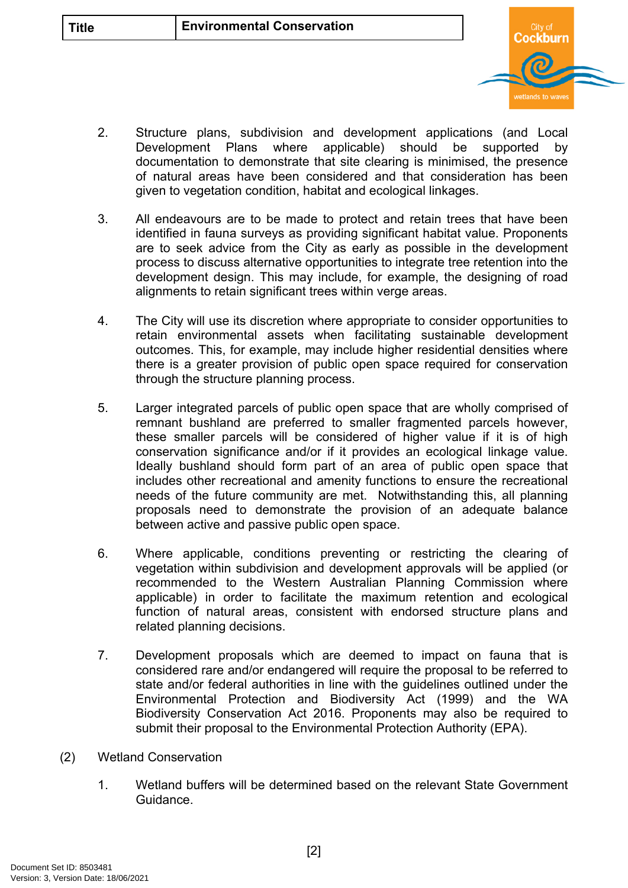

- 2. Structure plans, subdivision and development applications (and Local Development Plans where applicable) should be supported by documentation to demonstrate that site clearing is minimised, the presence of natural areas have been considered and that consideration has been given to vegetation condition, habitat and ecological linkages.
- 3. All endeavours are to be made to protect and retain trees that have been identified in fauna surveys as providing significant habitat value. Proponents are to seek advice from the City as early as possible in the development process to discuss alternative opportunities to integrate tree retention into the development design. This may include, for example, the designing of road alignments to retain significant trees within verge areas.
- 4. The City will use its discretion where appropriate to consider opportunities to retain environmental assets when facilitating sustainable development outcomes. This, for example, may include higher residential densities where there is a greater provision of public open space required for conservation through the structure planning process.
- 5. Larger integrated parcels of public open space that are wholly comprised of remnant bushland are preferred to smaller fragmented parcels however, these smaller parcels will be considered of higher value if it is of high conservation significance and/or if it provides an ecological linkage value. Ideally bushland should form part of an area of public open space that includes other recreational and amenity functions to ensure the recreational needs of the future community are met. Notwithstanding this, all planning proposals need to demonstrate the provision of an adequate balance between active and passive public open space.
- 6. Where applicable, conditions preventing or restricting the clearing of vegetation within subdivision and development approvals will be applied (or recommended to the Western Australian Planning Commission where applicable) in order to facilitate the maximum retention and ecological function of natural areas, consistent with endorsed structure plans and related planning decisions.
- 7. Development proposals which are deemed to impact on fauna that is considered rare and/or endangered will require the proposal to be referred to state and/or federal authorities in line with the guidelines outlined under the Environmental Protection and Biodiversity Act (1999) and the WA Biodiversity Conservation Act 2016. Proponents may also be required to submit their proposal to the Environmental Protection Authority (EPA).
- (2) Wetland Conservation
	- 1. Wetland buffers will be determined based on the relevant State Government Guidance.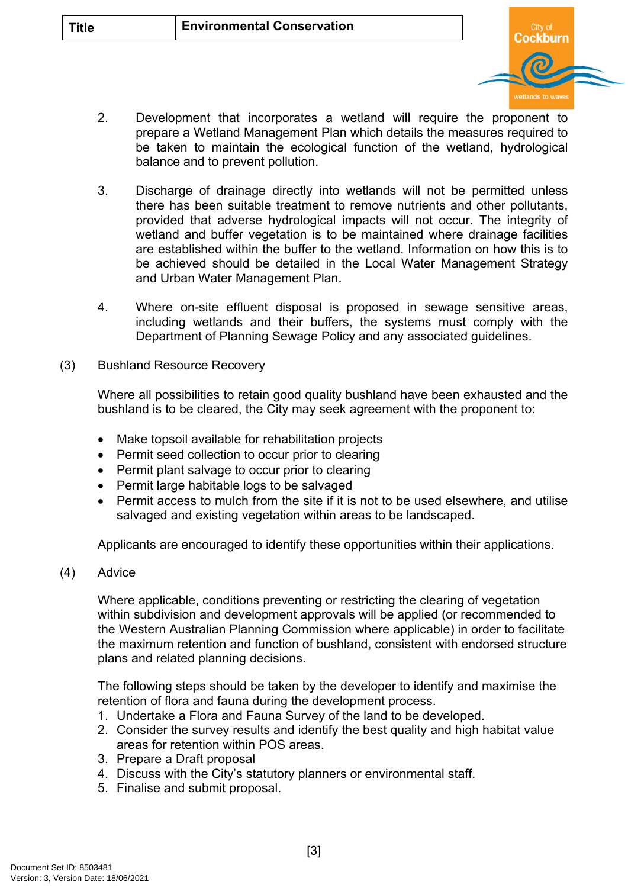

- 2. Development that incorporates a wetland will require the proponent to prepare a Wetland Management Plan which details the measures required to be taken to maintain the ecological function of the wetland, hydrological balance and to prevent pollution.
- 3. Discharge of drainage directly into wetlands will not be permitted unless there has been suitable treatment to remove nutrients and other pollutants, provided that adverse hydrological impacts will not occur. The integrity of wetland and buffer vegetation is to be maintained where drainage facilities are established within the buffer to the wetland. Information on how this is to be achieved should be detailed in the Local Water Management Strategy and Urban Water Management Plan.
- 4. Where on-site effluent disposal is proposed in sewage sensitive areas, including wetlands and their buffers, the systems must comply with the Department of Planning Sewage Policy and any associated guidelines.
- (3) Bushland Resource Recovery

Where all possibilities to retain good quality bushland have been exhausted and the bushland is to be cleared, the City may seek agreement with the proponent to:

- Make topsoil available for rehabilitation projects
- Permit seed collection to occur prior to clearing
- Permit plant salvage to occur prior to clearing
- Permit large habitable logs to be salvaged
- Permit access to mulch from the site if it is not to be used elsewhere, and utilise salvaged and existing vegetation within areas to be landscaped.

Applicants are encouraged to identify these opportunities within their applications.

(4) Advice

Where applicable, conditions preventing or restricting the clearing of vegetation within subdivision and development approvals will be applied (or recommended to the Western Australian Planning Commission where applicable) in order to facilitate the maximum retention and function of bushland, consistent with endorsed structure plans and related planning decisions.

The following steps should be taken by the developer to identify and maximise the retention of flora and fauna during the development process.

- 1. Undertake a Flora and Fauna Survey of the land to be developed.
- 2. Consider the survey results and identify the best quality and high habitat value areas for retention within POS areas.
- 3. Prepare a Draft proposal
- 4. Discuss with the City's statutory planners or environmental staff.
- 5. Finalise and submit proposal.